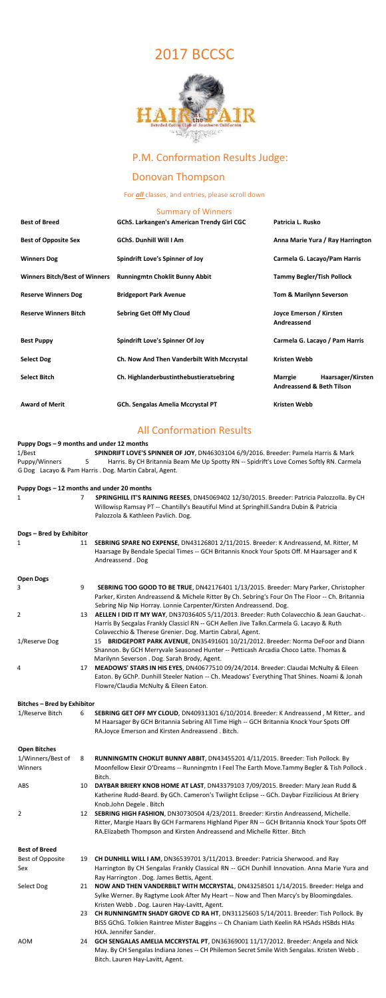# 2017 BCCSC



## P.M. Conformation Results Judge:

# Donovan Thompson

#### For **all** classes, and entries, please scroll down

#### Summary of Winners

| <b>Best of Breed</b>                 | <b>GChS. Larkangen's American Trendy Girl CGC</b> | Patricia L. Rusko                                                           |  |
|--------------------------------------|---------------------------------------------------|-----------------------------------------------------------------------------|--|
| <b>Best of Opposite Sex</b>          | <b>GChS. Dunhill Will I Am</b>                    | Anna Marie Yura / Ray Harrington                                            |  |
| <b>Winners Dog</b>                   | <b>Spindrift Love's Spinner of Joy</b>            | Carmela G. Lacayo/Pam Harris                                                |  |
| <b>Winners Bitch/Best of Winners</b> | <b>Runningmtn Choklit Bunny Abbit</b>             | <b>Tammy Begler/Tish Pollock</b>                                            |  |
| <b>Reserve Winners Dog</b>           | <b>Bridgeport Park Avenue</b>                     | <b>Tom &amp; Marilynn Severson</b>                                          |  |
| <b>Reserve Winners Bitch</b>         | <b>Sebring Get Off My Cloud</b>                   | Joyce Emerson / Kirsten<br>Andreassend                                      |  |
| <b>Best Puppy</b>                    | <b>Spindrift Love's Spinner Of Joy</b>            | Carmela G. Lacayo / Pam Harris                                              |  |
| <b>Select Dog</b>                    | Ch. Now And Then Vanderbilt With Mccrystal        | <b>Kristen Webb</b>                                                         |  |
| <b>Select Bitch</b>                  | Ch. Highlanderbustinthebustieratsebring           | Haarsager/Kirsten<br><b>Marrgie</b><br><b>Andreassend &amp; Beth Tilson</b> |  |
| <b>Award of Merit</b>                | <b>GCh. Sengalas Amelia Mccrystal PT</b>          | <b>Kristen Webb</b>                                                         |  |

## All Conformation Results

#### **Puppy Dogs – 9 months and under 12 months**

1/Best **SPINDRIFT LOVE'S SPINNER OF JOY**, DN46303104 6/9/2016. Breeder: Pamela Harris & Mark Puppy/Winners 5 Harris. By CH Britannia Beam Me Up Spotty RN -- Spidrift's Love Comes Softly RN. Carmela G Dog Lacayo & Pam Harris . Dog. Martin Cabral, Agent.

|                          |    | Puppy Dogs - 12 months and under 20 months                                                                                                                                                                                  |
|--------------------------|----|-----------------------------------------------------------------------------------------------------------------------------------------------------------------------------------------------------------------------------|
|                          |    | SPRINGHILL IT'S RAINING REESES, DN45069402 12/30/2015. Breeder: Patricia Palozzolla. By CH<br>Willowisp Ramsay PT -- Chantilly's Beautiful Mind at Springhill.Sandra Dubin & Patricia<br>Palozzola & Kathleen Pavlich. Dog. |
| Dogs - Bred by Exhibitor |    |                                                                                                                                                                                                                             |
|                          | 11 | SEBRING SPARE NO EXPENSE, DN43126801 2/11/2015. Breeder: K Andreassend, M. Ritter, M                                                                                                                                        |

Haarsage By Bendale Special Times -- GCH Britannis Knock Your Spots Off. M Haarsager and K Andreassend . Dog

| <b>Open Dogs</b>                   |    |                                                                                                                                                                                                                                                                   |
|------------------------------------|----|-------------------------------------------------------------------------------------------------------------------------------------------------------------------------------------------------------------------------------------------------------------------|
| 3                                  | 9  | SEBRING TOO GOOD TO BE TRUE, DN42176401 1/13/2015. Breeder: Mary Parker, Christopher<br>Parker, Kirsten Andreassend & Michele Ritter By Ch. Sebring's Four On The Floor -- Ch. Britannia<br>Sebring Nip Nip Horray. Lonnie Carpenter/Kirsten Andreassend. Dog.    |
| 2                                  | 13 | AELLEN I DID IT MY WAY, DN37036405 5/11/2013. Breeder: Ruth Colavecchio & Jean Gauchat-.<br>Harris By Secgalas Frankly Classicl RN -- GCH Aellen Jive Talkn.Carmela G. Lacayo & Ruth<br>Colavecchio & Therese Grenier. Dog. Martin Cabral, Agent.                 |
| 1/Reserve Dog                      |    | 15 BRIDGEPORT PARK AVENUE, DN35491601 10/21/2012. Breeder: Norma DeFoor and Diann<br>Shannon. By GCH Merryvale Seasoned Hunter -- Petticash Arcadia Choco Latte. Thomas &<br>Marilynn Severson . Dog. Sarah Brody, Agent.                                         |
| 4                                  | 17 | MEADOWS' STARS IN HIS EYES, DN40677510 09/24/2014. Breeder: Claudai McNulty & Eileen<br>Eaton. By GChP. Dunhill Steeler Nation -- Ch. Meadows' Everything That Shines. Noami & Jonah<br>Flowre/Claudia McNulty & Eileen Eaton.                                    |
| <b>Bitches - Bred by Exhibitor</b> |    |                                                                                                                                                                                                                                                                   |
| 1/Reserve Bitch                    | 6  | SEBRING GET OFF MY CLOUD, DN40931301 6/10/2014. Breeder: K Andreassend, M Ritter,. and<br>M Haarsager By GCH Britannia Sebring All Time High -- GCH Britannia Knock Your Spots Off<br>RA.Joyce Emerson and Kirsten Andreassend. Bitch.                            |
| <b>Open Bitches</b>                |    |                                                                                                                                                                                                                                                                   |
| 1/Winners/Best of<br>Winners       | 8  | RUNNINGMTN CHOKLIT BUNNY ABBIT, DN43455201 4/11/2015. Breeder: Tish Pollock. By<br>Moonfellow Elexir O'Dreams -- Runningmtn I Feel The Earth Move.Tammy Begler & Tish Pollock.<br>Bitch.                                                                          |
| ABS                                | 10 | DAYBAR BRIERY KNOB HOME AT LAST, DN43379103 7/09/2015. Breeder: Mary Jean Rudd &<br>Katherine Rudd-Beard. By GCh. Cameron's Twilight Eclipse -- GCh. Daybar Fizzilicious At Briery<br>Knob.John Degele . Bitch                                                    |
| $\overline{2}$                     | 12 | SEBRING HIGH FASHION, DN30730504 4/23/2011. Breeder: Kirstin Andreassend, Michelle.<br>Ritter, Margie Haars By GCH Farmarens Highland Piper RN -- GCH Britannia Knock Your Spots Off<br>RA. Elizabeth Thompson and Kirsten Andreassend and Michelle Ritter. Bitch |
| <b>Best of Breed</b>               |    |                                                                                                                                                                                                                                                                   |
| Best of Opposite                   |    | 19 CH DUNHILL WILL I AM, DN36539701 3/11/2013. Breeder: Patricia Sherwood. and Ray                                                                                                                                                                                |
| Sex                                |    | Harrington By CH Sengalas Frankly Classical RN -- GCH Dunhill Innovation. Anna Marie Yura and<br>Ray Harrington . Dog. James Bettis, Agent.                                                                                                                       |
| Select Dog                         | 21 | NOW AND THEN VANDERBILT WITH MCCRYSTAL, DN43258501 1/14/2015. Breeder: Helga and<br>Sylke Werner. By Ragtyme Look After My Heart -- Now and Then Marcy's by Bloomingdales.<br>Kristen Webb. Dog. Lauren Hay-Lavitt, Agent.                                        |
|                                    | 23 | CH RUNNINGMTN SHADY GROVE CD RA HT, DN31125603 5/14/2011. Breeder: Tish Pollock. By<br>BISS GChG. Tolkien Raintree Mister Baggins -- Ch Chaniam Liath Keelin RA HSAds HSBds HIAs<br>HXA. Jennifer Sander.                                                         |
| AOM                                | 24 | GCH SENGALAS AMELIA MCCRYSTAL PT, DN36369001 11/17/2012. Breeder: Angela and Nick<br>May. By CH Sengalas Indiana Jones -- CH Philemon Secret Smile With Sengalas. Kristen Webb.<br>Bitch. Lauren Hay-Lavitt, Agent.                                               |